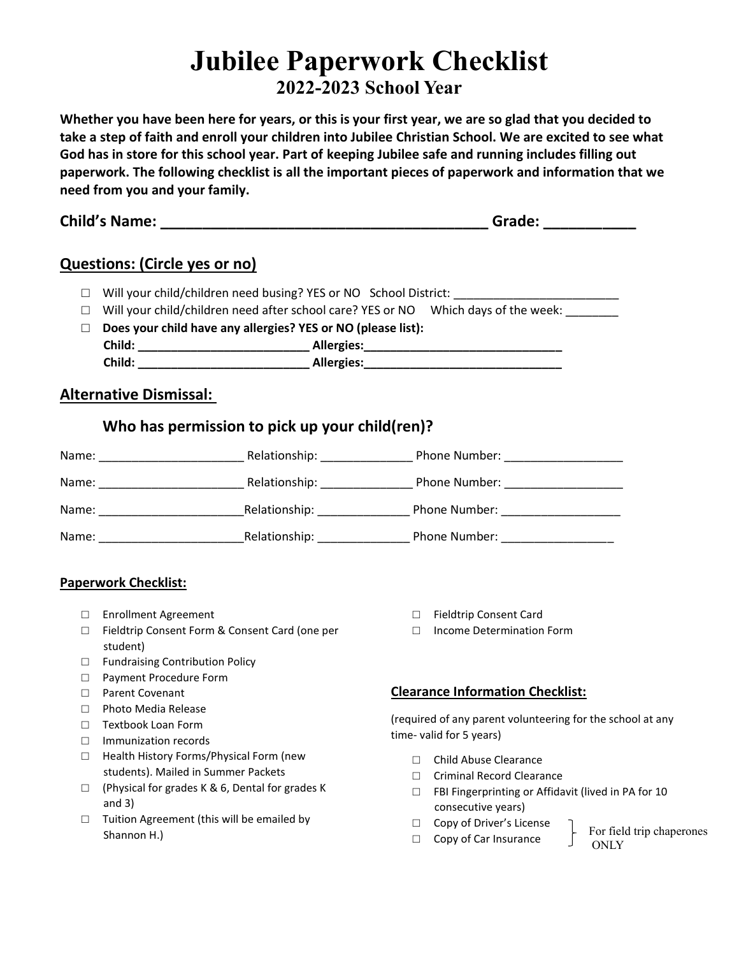# **Jubilee Paperwork Checklist**

# **2022-2023 School Year**

**Whether you have been here for years, or this is your first year, we are so glad that you decided to take a step of faith and enroll your children into Jubilee Christian School. We are excited to see what God has in store for this school year. Part of keeping Jubilee safe and running includes filling out paperwork. The following checklist is all the important pieces of paperwork and information that we need from you and your family.** 

**Child's Name: \_\_\_\_\_\_\_\_\_\_\_\_\_\_\_\_\_\_\_\_\_\_\_\_\_\_\_\_\_\_\_\_\_\_\_\_\_\_\_ Grade: \_\_\_\_\_\_\_\_\_\_\_**

# **Questions: (Circle yes or no)**

- □ Will your child/children need busing? YES or NO School District: \_\_\_\_\_\_
- $\square$  Will your child/children need after school care? YES or NO Which days of the week:  $\_{\_}$
- □ **Does your child have any allergies? YES or NO (please list): Child: \_\_\_\_\_\_\_\_\_\_\_\_\_\_\_\_\_\_\_\_\_\_\_\_\_\_ Allergies:\_\_\_\_\_\_\_\_\_\_\_\_\_\_\_\_\_\_\_\_\_\_\_\_\_\_\_\_\_\_ Child: Child: Child: Allergies:** *Child:* **<b>***Child: Child: Child: Child: CHILD: CHILD: CHILD: CHILD: CHILD: CHILD: CHILD: CHILD: CHILD: CHILD: CHILD: CHILD*

## **Alternative Dismissal:**

# **Who has permission to pick up your child(ren)?**

| Name: | Relationship: | Phone Number: |
|-------|---------------|---------------|
| Name: | Relationship: | Phone Number: |
| Name: | Relationship: | Phone Number: |
| Name: | Relationship: | Phone Number: |

### **Paperwork Checklist:**

- □ Enrollment Agreement
- □ Fieldtrip Consent Form & Consent Card (one per student)
- □ Fundraising Contribution Policy
- □ Payment Procedure Form
- □ Parent Covenant
- □ Photo Media Release
- □ Textbook Loan Form
- □ Immunization records
- □ Health History Forms/Physical Form (new students). Mailed in Summer Packets
- $\square$  (Physical for grades K & 6, Dental for grades K and 3)
- $\Box$  Tuition Agreement (this will be emailed by Shannon H.)
- □ Fieldtrip Consent Card
- □ Income Determination Form

### **Clearance Information Checklist:**

(required of any parent volunteering for the school at any time- valid for 5 years)

- □ Child Abuse Clearance
- □ Criminal Record Clearance
- □ FBI Fingerprinting or Affidavit (lived in PA for 10 consecutive years)
- □ Copy of Driver's License
- □ Copy of Car Insurance

For field trip chaperones ONLY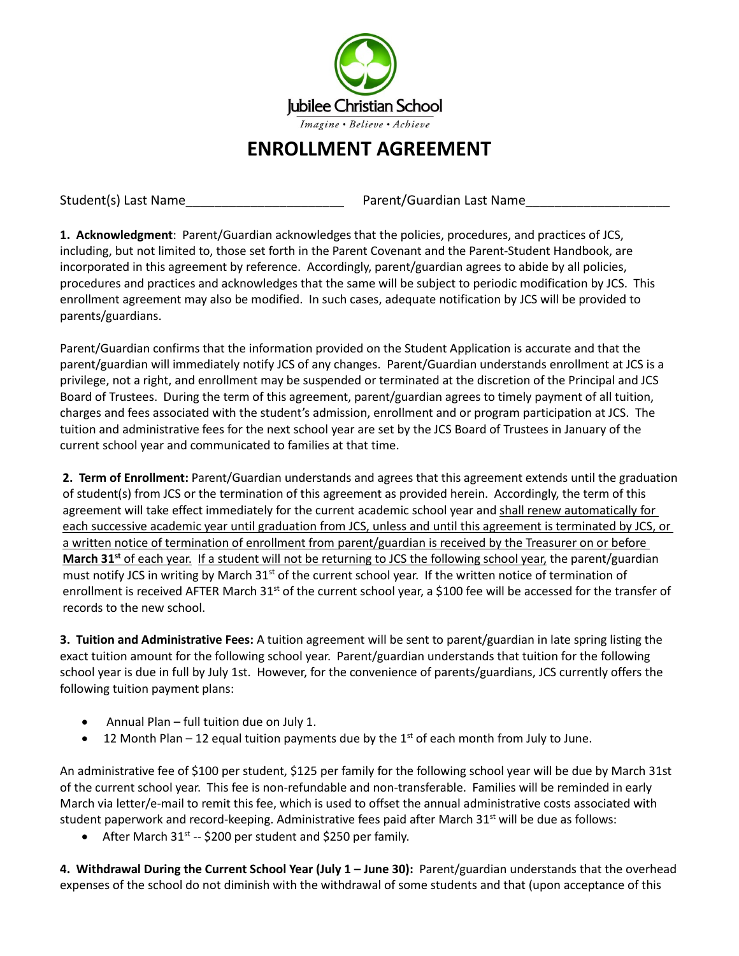

# **ENROLLMENT AGREEMENT**

Student(s) Last Name The Communication Control of Parent/Guardian Last Name

**1. Acknowledgment**: Parent/Guardian acknowledges that the policies, procedures, and practices of JCS, including, but not limited to, those set forth in the Parent Covenant and the Parent-Student Handbook, are incorporated in this agreement by reference. Accordingly, parent/guardian agrees to abide by all policies, procedures and practices and acknowledges that the same will be subject to periodic modification by JCS. This enrollment agreement may also be modified. In such cases, adequate notification by JCS will be provided to parents/guardians.

Parent/Guardian confirms that the information provided on the Student Application is accurate and that the parent/guardian will immediately notify JCS of any changes. Parent/Guardian understands enrollment at JCS is a privilege, not a right, and enrollment may be suspended or terminated at the discretion of the Principal and JCS Board of Trustees. During the term of this agreement, parent/guardian agrees to timely payment of all tuition, charges and fees associated with the student's admission, enrollment and or program participation at JCS. The tuition and administrative fees for the next school year are set by the JCS Board of Trustees in January of the current school year and communicated to families at that time.

**2. Term of Enrollment:** Parent/Guardian understands and agrees that this agreement extends until the graduation of student(s) from JCS or the termination of this agreement as provided herein. Accordingly, the term of this agreement will take effect immediately for the current academic school year and shall renew automatically for each successive academic year until graduation from JCS, unless and until this agreement is terminated by JCS, or a written notice of termination of enrollment from parent/guardian is received by the Treasurer on or before **March 31st** of each year. If a student will not be returning to JCS the following school year, the parent/guardian must notify JCS in writing by March 31<sup>st</sup> of the current school year. If the written notice of termination of enrollment is received AFTER March 31<sup>st</sup> of the current school year, a \$100 fee will be accessed for the transfer of records to the new school.

**3. Tuition and Administrative Fees:** A tuition agreement will be sent to parent/guardian in late spring listing the exact tuition amount for the following school year. Parent/guardian understands that tuition for the following school year is due in full by July 1st. However, for the convenience of parents/guardians, JCS currently offers the following tuition payment plans:

- Annual Plan full tuition due on July 1.
- 12 Month Plan  $-12$  equal tuition payments due by the 1<sup>st</sup> of each month from July to June.

An administrative fee of \$100 per student, \$125 per family for the following school year will be due by March 31st of the current school year. This fee is non-refundable and non-transferable. Families will be reminded in early March via letter/e-mail to remit this fee, which is used to offset the annual administrative costs associated with student paperwork and record-keeping. Administrative fees paid after March 31<sup>st</sup> will be due as follows:

• After March  $31^{st}$  -- \$200 per student and \$250 per family.

**4. Withdrawal During the Current School Year (July 1 - June 30): Parent/guardian understands that the overhead** expenses of the school do not diminish with the withdrawal of some students and that (upon acceptance of this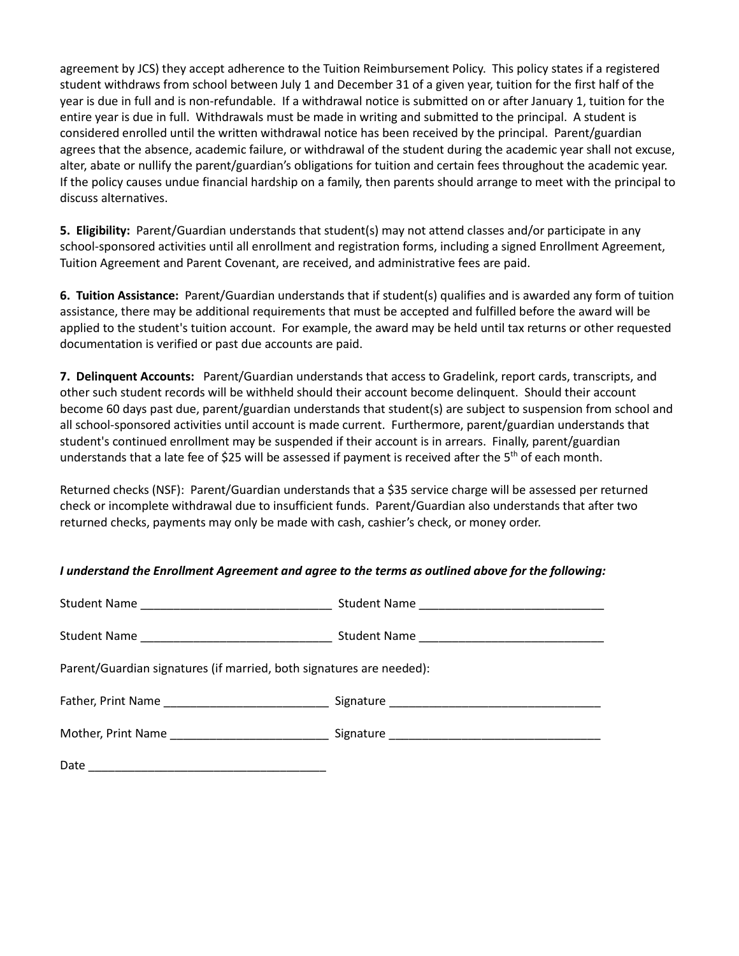agreement by JCS) they accept adherence to the Tuition Reimbursement Policy. This policy states if a registered student withdraws from school between July 1 and December 31 of a given year, tuition for the first half of the year is due in full and is non-refundable. If a withdrawal notice is submitted on or after January 1, tuition for the entire year is due in full. Withdrawals must be made in writing and submitted to the principal. A student is considered enrolled until the written withdrawal notice has been received by the principal. Parent/guardian agrees that the absence, academic failure, or withdrawal of the student during the academic year shall not excuse, alter, abate or nullify the parent/guardian's obligations for tuition and certain fees throughout the academic year. If the policy causes undue financial hardship on a family, then parents should arrange to meet with the principal to discuss alternatives.

**5. Eligibility:** Parent/Guardian understands that student(s) may not attend classes and/or participate in any school-sponsored activities until all enrollment and registration forms, including a signed Enrollment Agreement, Tuition Agreement and Parent Covenant, are received, and administrative fees are paid.

**6. Tuition Assistance:** Parent/Guardian understands that if student(s) qualifies and is awarded any form of tuition assistance, there may be additional requirements that must be accepted and fulfilled before the award will be applied to the student's tuition account. For example, the award may be held until tax returns or other requested documentation is verified or past due accounts are paid.

**7. Delinquent Accounts:** Parent/Guardian understands that access to Gradelink, report cards, transcripts, and other such student records will be withheld should their account become delinquent. Should their account become 60 days past due, parent/guardian understands that student(s) are subject to suspension from school and all school-sponsored activities until account is made current. Furthermore, parent/guardian understands that student's continued enrollment may be suspended if their account is in arrears. Finally, parent/guardian understands that a late fee of \$25 will be assessed if payment is received after the  $5<sup>th</sup>$  of each month.

Returned checks (NSF): Parent/Guardian understands that a \$35 service charge will be assessed per returned check or incomplete withdrawal due to insufficient funds. Parent/Guardian also understands that after two returned checks, payments may only be made with cash, cashier's check, or money order.

#### *I understand the Enrollment Agreement and agree to the terms as outlined above for the following:*

| Parent/Guardian signatures (if married, both signatures are needed): |  |  |
|----------------------------------------------------------------------|--|--|
|                                                                      |  |  |
|                                                                      |  |  |
|                                                                      |  |  |
|                                                                      |  |  |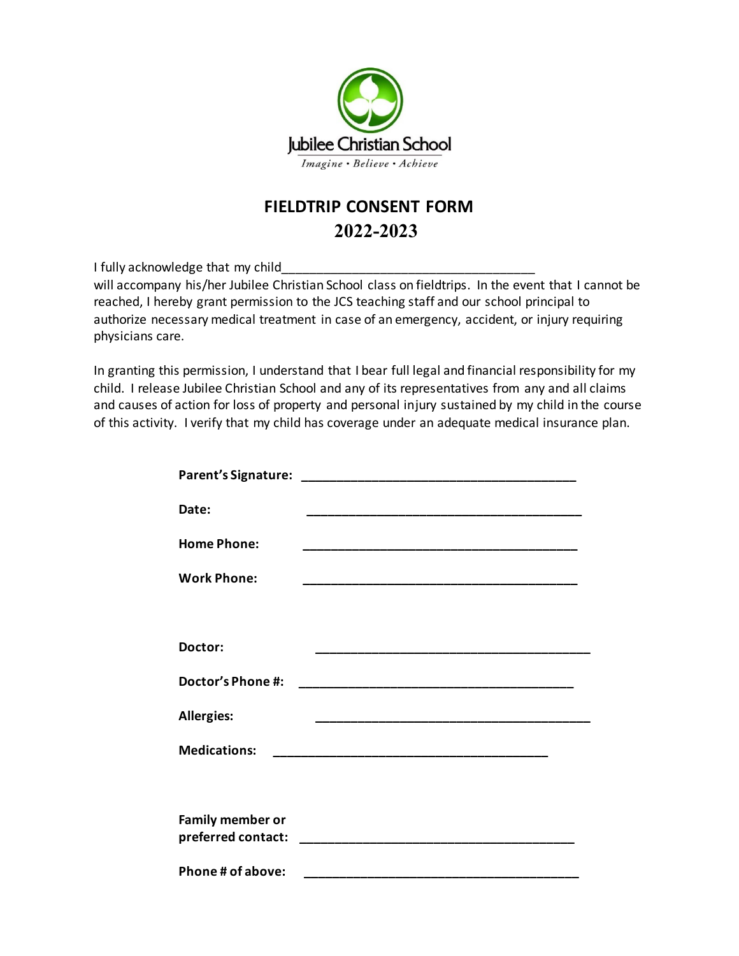

# **FIELDTRIP CONSENT FORM 2022-2023**<br>**2022-2023**<br>**2022-2023 2022-2023**

I fully acknowledge that my child

will accompany his/her Jubilee Christian School class on fieldtrips. In the event that I cannot be reached, I hereby grant permission to the JCS teaching staff and our school principal to authorize necessary medical treatment in case of an emergency, accident, or injury requiring physicians care.

In granting this permission, I understand that I bear full legal and financial responsibility for my child. I release Jubilee Christian School and any of its representatives from any and all claims and causes of action for loss of property and personal injury sustained by my child in the course of this activity. I verify that my child has coverage under an adequate medical insurance plan.

| Date:                   |                                                                   |  |
|-------------------------|-------------------------------------------------------------------|--|
| <b>Home Phone:</b>      | <u> 1980 - Johann John Stone, mars eta biztanleria (h. 1980).</u> |  |
| <b>Work Phone:</b>      |                                                                   |  |
|                         |                                                                   |  |
| Doctor:                 |                                                                   |  |
| Doctor's Phone #:       |                                                                   |  |
| <b>Allergies:</b>       |                                                                   |  |
| <b>Medications:</b>     |                                                                   |  |
|                         |                                                                   |  |
| <b>Family member or</b> |                                                                   |  |
| Phone # of above:       |                                                                   |  |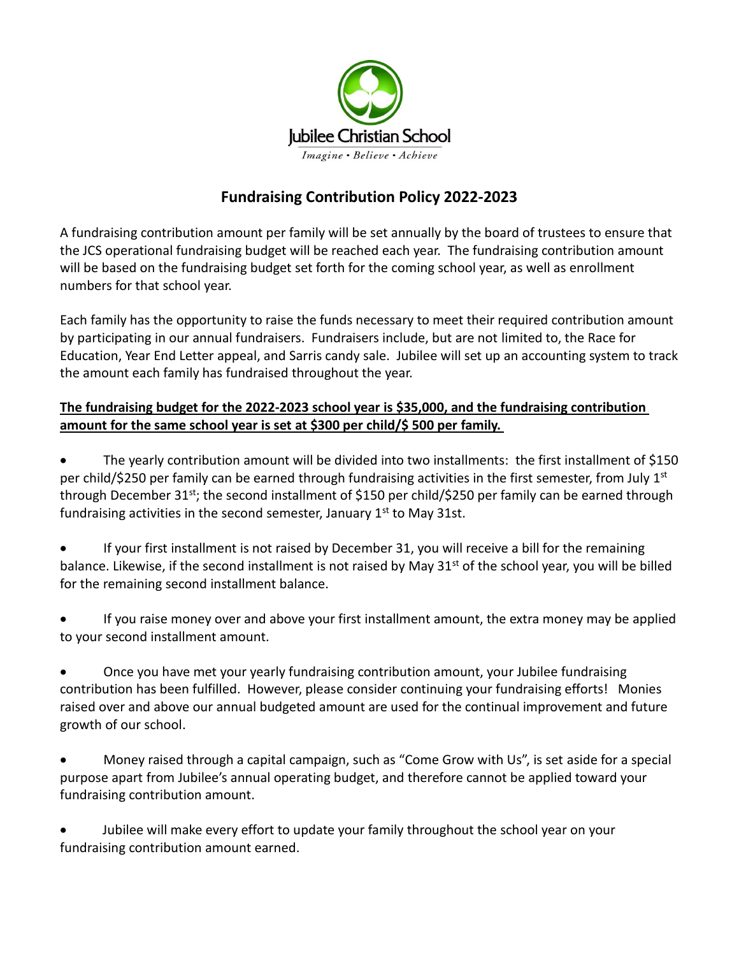

# **Fundraising Contribution Policy 2022-2023**

A fundraising contribution amount per family will be set annually by the board of trustees to ensure that the JCS operational fundraising budget will be reached each year. The fundraising contribution amount will be based on the fundraising budget set forth for the coming school year, as well as enrollment numbers for that school year.

Each family has the opportunity to raise the funds necessary to meet their required contribution amount by participating in our annual fundraisers. Fundraisers include, but are not limited to, the Race for Education, Year End Letter appeal, and Sarris candy sale. Jubilee will set up an accounting system to track the amount each family has fundraised throughout the year.

## **The fundraising budget for the 2022-2023 school year is \$35,000, and the fundraising contribution amount for the same school year is set at \$300 per child/\$ 500 per family.**

• The yearly contribution amount will be divided into two installments: the first installment of \$150 per child/\$250 per family can be earned through fundraising activities in the first semester, from July 1<sup>st</sup> through December 31<sup>st</sup>; the second installment of \$150 per child/\$250 per family can be earned through fundraising activities in the second semester, January  $1<sup>st</sup>$  to May 31st.

• If your first installment is not raised by December 31, you will receive a bill for the remaining balance. Likewise, if the second installment is not raised by May 31<sup>st</sup> of the school year, you will be billed for the remaining second installment balance.

• If you raise money over and above your first installment amount, the extra money may be applied to your second installment amount.

• Once you have met your yearly fundraising contribution amount, your Jubilee fundraising contribution has been fulfilled. However, please consider continuing your fundraising efforts! Monies raised over and above our annual budgeted amount are used for the continual improvement and future growth of our school.

• Money raised through a capital campaign, such as "Come Grow with Us", is set aside for a special purpose apart from Jubilee's annual operating budget, and therefore cannot be applied toward your fundraising contribution amount.

• Jubilee will make every effort to update your family throughout the school year on your fundraising contribution amount earned.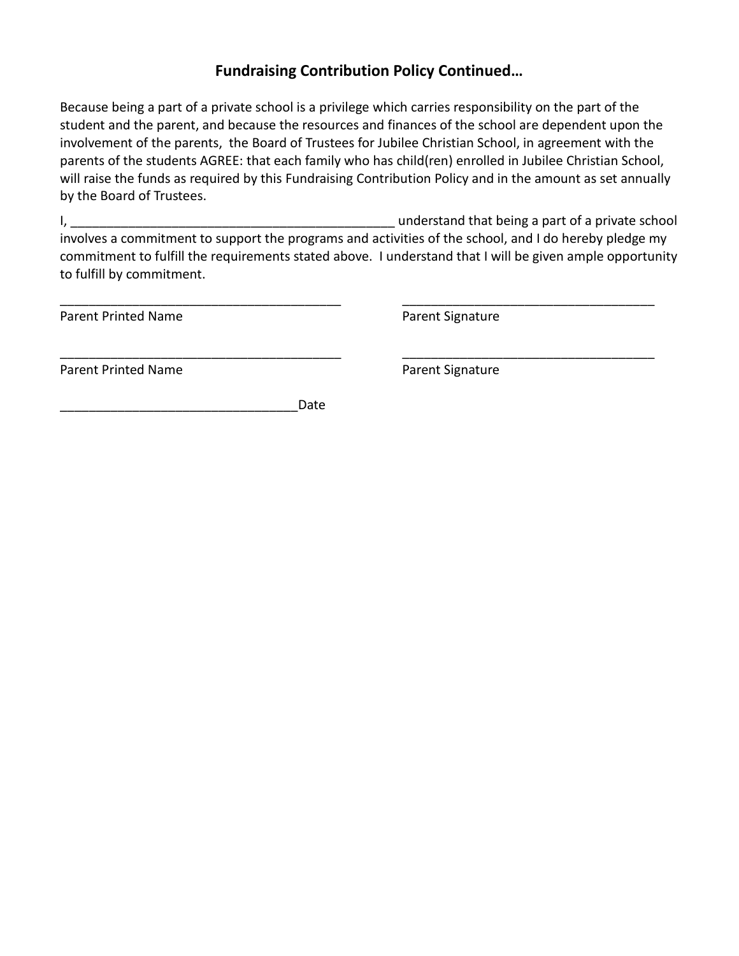# **Fundraising Contribution Policy Continued…**

Because being a part of a private school is a privilege which carries responsibility on the part of the student and the parent, and because the resources and finances of the school are dependent upon the involvement of the parents, the Board of Trustees for Jubilee Christian School, in agreement with the parents of the students AGREE: that each family who has child(ren) enrolled in Jubilee Christian School, will raise the funds as required by this Fundraising Contribution Policy and in the amount as set annually by the Board of Trustees.

I, the contract of a private school and that being a part of a private school and that being a part of a private school involves a commitment to support the programs and activities of the school, and I do hereby pledge my commitment to fulfill the requirements stated above. I understand that I will be given ample opportunity to fulfill by commitment.

\_\_\_\_\_\_\_\_\_\_\_\_\_\_\_\_\_\_\_\_\_\_\_\_\_\_\_\_\_\_\_\_\_\_\_\_\_\_\_ \_\_\_\_\_\_\_\_\_\_\_\_\_\_\_\_\_\_\_\_\_\_\_\_\_\_\_\_\_\_\_\_\_\_\_

\_\_\_\_\_\_\_\_\_\_\_\_\_\_\_\_\_\_\_\_\_\_\_\_\_\_\_\_\_\_\_\_\_\_\_\_\_\_\_ \_\_\_\_\_\_\_\_\_\_\_\_\_\_\_\_\_\_\_\_\_\_\_\_\_\_\_\_\_\_\_\_\_\_\_

Parent Printed Name **Parent Signature** Parent Signature

Parent Printed Name **Parent Signature** Parent Signature

\_\_\_\_\_\_\_\_\_\_\_\_\_\_\_\_\_\_\_\_\_\_\_\_\_\_\_\_\_\_\_\_\_Date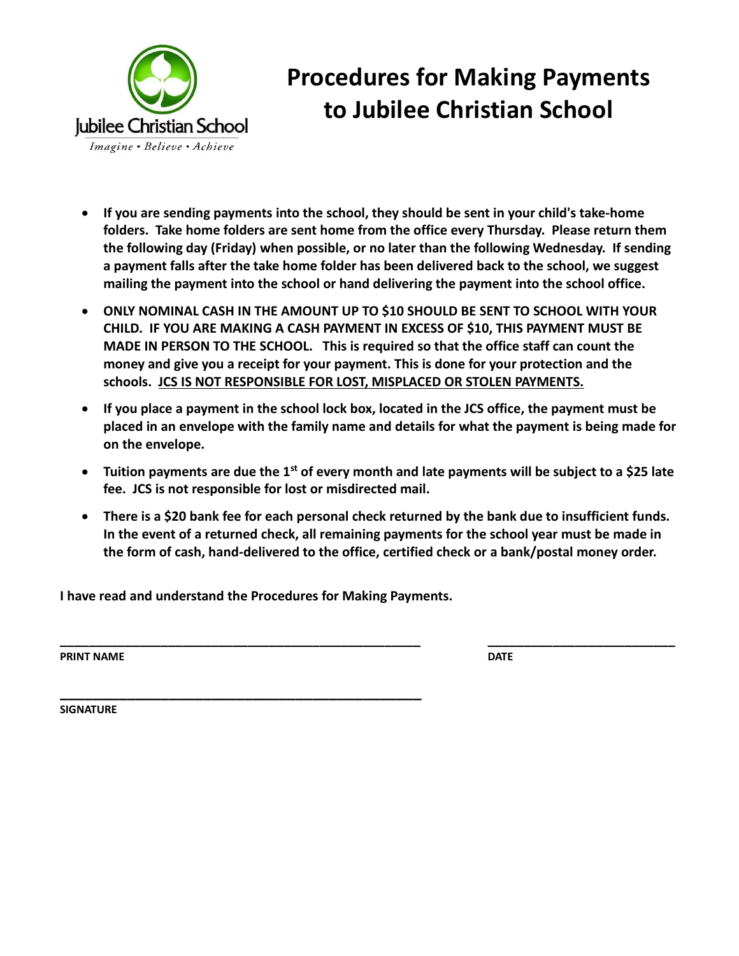

# **Procedures for Making Payments to Jubilee Christian School**

- **If you are sending payments into the school, they should be sent in your child's take-home folders. Take home folders are sent home from the office every Thursday. Please return them the following day (Friday) when possible, or no later than the following Wednesday. If sending a payment falls after the take home folder has been delivered back to the school, we suggest mailing the payment into the school or hand delivering the payment into the school office.**
- **ONLY NOMINAL CASH IN THE AMOUNT UP TO \$10 SHOULD BE SENT TO SCHOOL WITH YOUR CHILD. IF YOU ARE MAKING A CASH PAYMENT IN EXCESS OF \$10, THIS PAYMENT MUST BE MADE IN PERSON TO THE SCHOOL. This is required so that the office staff can count the money and give you a receipt for your payment. This is done for your protection and the schools. JCS IS NOT RESPONSIBLE FOR LOST, MISPLACED OR STOLEN PAYMENTS.**
- **If you place a payment in the school lock box, located in the JCS office, the payment must be placed in an envelope with the family name and details for what the payment is being made for on the envelope.**
- **Tuition payments are due the 1st of every month and late payments will be subject to a \$25 late fee. JCS is not responsible for lost or misdirected mail.**
- **There is a \$20 bank fee for each personal check returned by the bank due to insufficient funds. In the event of a returned check, all remaining payments for the school year must be made in the form of cash, hand-delivered to the office, certified check or a bank/postal money order.**

**\_\_\_\_\_\_\_\_\_\_\_\_\_\_\_\_\_\_\_\_\_\_\_\_\_\_\_\_\_\_\_\_\_\_\_\_\_\_\_\_\_\_\_\_\_\_\_\_\_\_ \_\_\_\_\_\_\_\_\_\_\_\_\_\_\_\_\_\_\_\_\_\_\_\_\_\_**

**I have read and understand the Procedures for Making Payments.**

**PRINT NAME** DATE

**\_\_\_\_\_\_\_\_\_\_\_\_\_\_\_\_\_\_\_\_\_\_\_\_\_\_\_\_\_\_\_\_\_\_\_\_\_\_\_\_\_\_\_ SIGNATURE**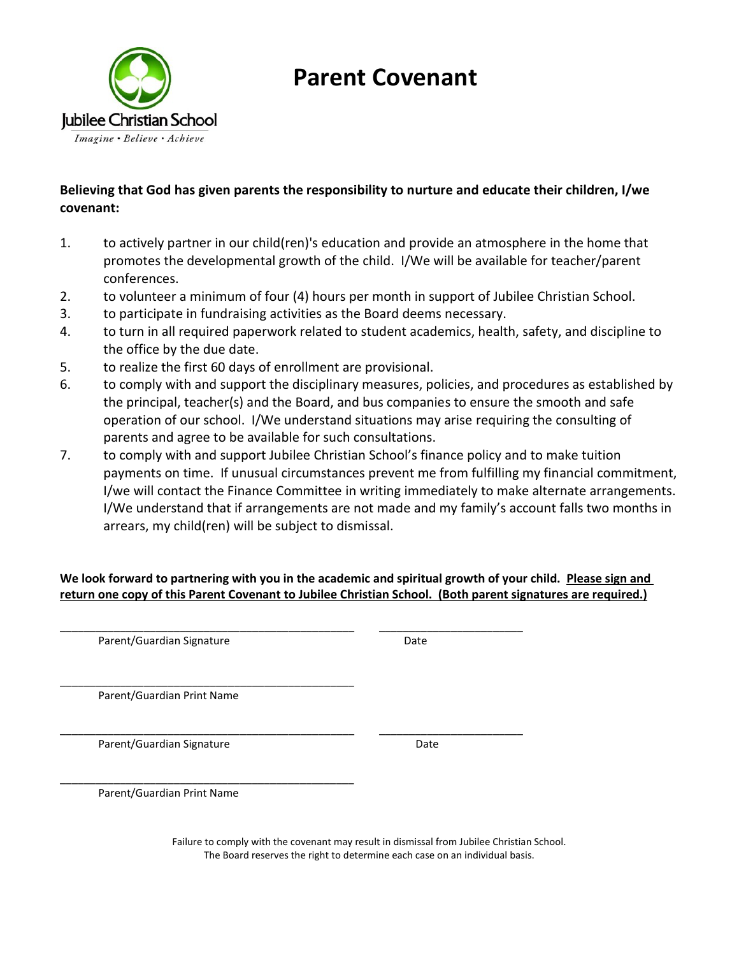

# **Parent Covenant**

# **Believing that God has given parents the responsibility to nurture and educate their children, I/we covenant:**

- 1. to actively partner in our child(ren)'s education and provide an atmosphere in the home that promotes the developmental growth of the child. I/We will be available for teacher/parent conferences.
- 2. to volunteer a minimum of four (4) hours per month in support of Jubilee Christian School.
- 3. to participate in fundraising activities as the Board deems necessary.
- 4. to turn in all required paperwork related to student academics, health, safety, and discipline to the office by the due date.
- 5. to realize the first 60 days of enrollment are provisional.
- 6. to comply with and support the disciplinary measures, policies, and procedures as established by the principal, teacher(s) and the Board, and bus companies to ensure the smooth and safe operation of our school. I/We understand situations may arise requiring the consulting of parents and agree to be available for such consultations.
- 7. to comply with and support Jubilee Christian School's finance policy and to make tuition payments on time. If unusual circumstances prevent me from fulfilling my financial commitment, I/we will contact the Finance Committee in writing immediately to make alternate arrangements. I/We understand that if arrangements are not made and my family's account falls two months in arrears, my child(ren) will be subject to dismissal.

**We look forward to partnering with you in the academic and spiritual growth of your child. Please sign and return one copy of this Parent Covenant to Jubilee Christian School. (Both parent signatures are required.)**

\_\_\_\_\_\_\_\_\_\_\_\_\_\_\_\_\_\_\_\_\_\_\_\_\_\_\_\_\_\_\_\_\_\_\_\_\_\_\_\_\_\_\_\_\_\_\_\_\_ \_\_\_\_\_\_\_\_\_\_\_\_\_\_\_\_\_\_\_\_\_\_\_\_ Parent/Guardian Signature Date

\_\_\_\_\_\_\_\_\_\_\_\_\_\_\_\_\_\_\_\_\_\_\_\_\_\_\_\_\_\_\_\_\_\_\_\_\_\_\_\_\_\_\_\_\_\_\_\_\_ Parent/Guardian Print Name

\_\_\_\_\_\_\_\_\_\_\_\_\_\_\_\_\_\_\_\_\_\_\_\_\_\_\_\_\_\_\_\_\_\_\_\_\_\_\_\_\_\_\_\_\_\_\_\_\_ \_\_\_\_\_\_\_\_\_\_\_\_\_\_\_\_\_\_\_\_\_\_\_\_ Parent/Guardian Signature Date

\_\_\_\_\_\_\_\_\_\_\_\_\_\_\_\_\_\_\_\_\_\_\_\_\_\_\_\_\_\_\_\_\_\_\_\_\_\_\_\_\_\_\_\_\_\_\_\_\_ Parent/Guardian Print Name

> Failure to comply with the covenant may result in dismissal from Jubilee Christian School. The Board reserves the right to determine each case on an individual basis.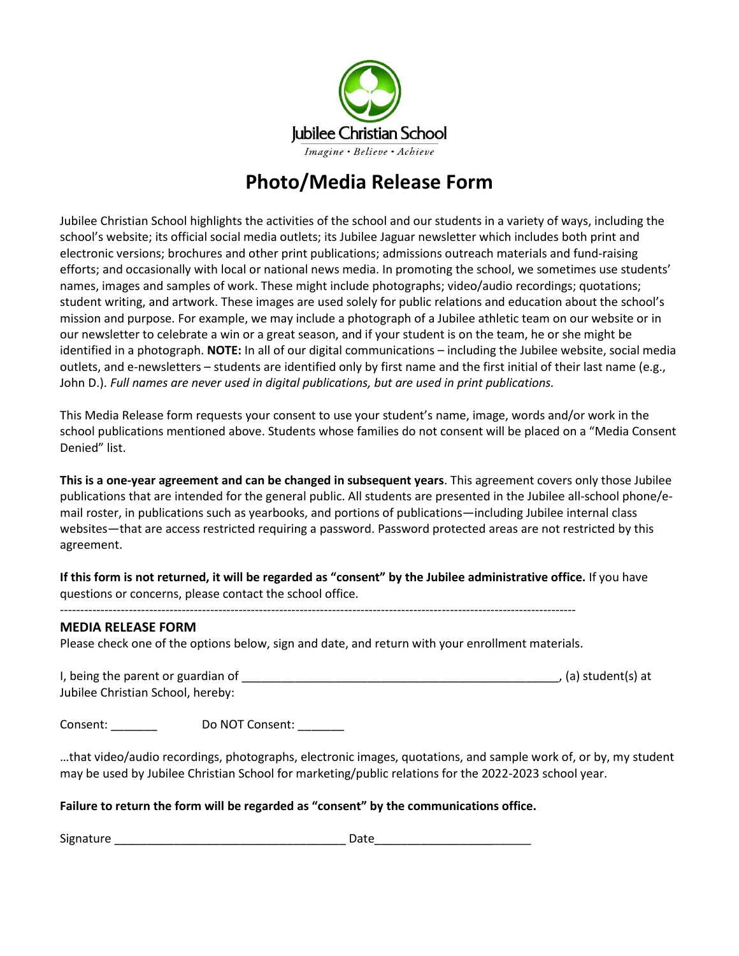

# **Photo/Media Release Form**

Jubilee Christian School highlights the activities of the school and our students in a variety of ways, including the school's website; its official social media outlets; its Jubilee Jaguar newsletter which includes both print and electronic versions; brochures and other print publications; admissions outreach materials and fund-raising efforts; and occasionally with local or national news media. In promoting the school, we sometimes use students' names, images and samples of work. These might include photographs; video/audio recordings; quotations; student writing, and artwork. These images are used solely for public relations and education about the school's mission and purpose. For example, we may include a photograph of a Jubilee athletic team on our website or in our newsletter to celebrate a win or a great season, and if your student is on the team, he or she might be identified in a photograph. **NOTE:** In all of our digital communications – including the Jubilee website, social media outlets, and e-newsletters – students are identified only by first name and the first initial of their last name (e.g., John D.). *Full names are never used in digital publications, but are used in print publications.* 

This Media Release form requests your consent to use your student's name, image, words and/or work in the school publications mentioned above. Students whose families do not consent will be placed on a "Media Consent Denied" list.

**This is a one-year agreement and can be changed in subsequent years**. This agreement covers only those Jubilee publications that are intended for the general public. All students are presented in the Jubilee all-school phone/email roster, in publications such as yearbooks, and portions of publications—including Jubilee internal class websites—that are access restricted requiring a password. Password protected areas are not restricted by this agreement.

**If this form is not returned, it will be regarded as "consent" by the Jubilee administrative office.** If you have questions or concerns, please contact the school office.

#### **MEDIA RELEASE FORM**

Please check one of the options below, sign and date, and return with your enrollment materials.

I, being the parent or guardian of \_\_\_\_\_\_\_\_\_\_\_\_\_\_\_\_\_\_\_\_\_\_\_\_\_\_\_\_\_\_\_\_\_\_\_\_\_\_\_\_\_\_\_\_\_\_\_\_, (a) student(s) at Jubilee Christian School, hereby:

Consent: Do NOT Consent:

-------------------------------------------------------------------------------------------------------------------------------

…that video/audio recordings, photographs, electronic images, quotations, and sample work of, or by, my student may be used by Jubilee Christian School for marketing/public relations for the 2022-2023 school year.

#### **Failure to return the form will be regarded as "consent" by the communications office.**

Signature \_\_\_\_\_\_\_\_\_\_\_\_\_\_\_\_\_\_\_\_\_\_\_\_\_\_\_\_\_\_\_\_\_\_\_ Date\_\_\_\_\_\_\_\_\_\_\_\_\_\_\_\_\_\_\_\_\_\_\_\_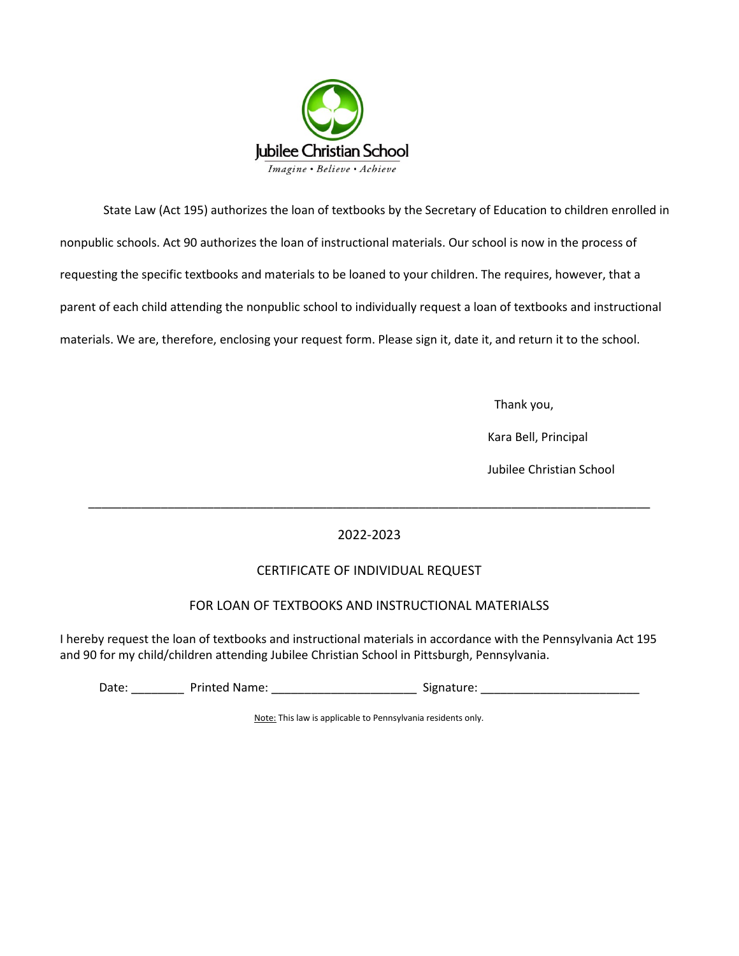

State Law (Act 195) authorizes the loan of textbooks by the Secretary of Education to children enrolled in nonpublic schools. Act 90 authorizes the loan of instructional materials. Our school is now in the process of requesting the specific textbooks and materials to be loaned to your children. The requires, however, that a parent of each child attending the nonpublic school to individually request a loan of textbooks and instructional materials. We are, therefore, enclosing your request form. Please sign it, date it, and return it to the school.

Thank you,

Kara Bell, Principal

Jubilee Christian School

### 2022-2023

\_\_\_\_\_\_\_\_\_\_\_\_\_\_\_\_\_\_\_\_\_\_\_\_\_\_\_\_\_\_\_\_\_\_\_\_\_\_\_\_\_\_\_\_\_\_\_\_\_\_\_\_\_\_\_\_\_\_\_\_\_\_\_\_\_\_\_\_\_\_\_\_\_\_\_\_\_\_\_\_\_\_\_\_\_

#### CERTIFICATE OF INDIVIDUAL REQUEST

#### FOR LOAN OF TEXTBOOKS AND INSTRUCTIONAL MATERIALSS

I hereby request the loan of textbooks and instructional materials in accordance with the Pennsylvania Act 195 and 90 for my child/children attending Jubilee Christian School in Pittsburgh, Pennsylvania.

Date: \_\_\_\_\_\_\_\_ Printed Name: \_\_\_\_\_\_\_\_\_\_\_\_\_\_\_\_\_\_\_\_\_\_ Signature: \_\_\_\_\_\_\_\_\_\_\_\_\_\_\_\_\_\_\_\_\_\_\_\_

Note: This law is applicable to Pennsylvania residents only.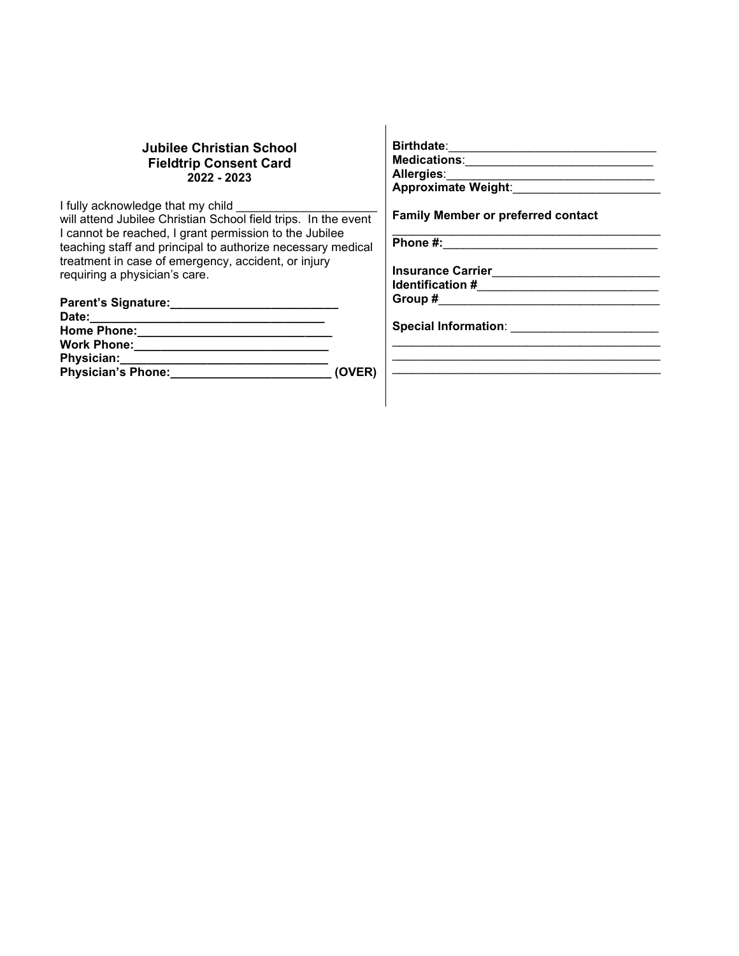#### **Jubilee Christian School Fieldtrip Consent Card 2022 - 2023**

I fully acknowledge that my child will attend Jubilee Christian School field trips. In the event I cannot be reached, I grant permission to the Jubilee teaching staff and principal to authorize necessary medical treatment in case of emergency, accident, or injury requiring a physician's care.

| Parent's Signature:       |        | Group #                     |
|---------------------------|--------|-----------------------------|
| Date:                     |        |                             |
| <b>Home Phone:</b>        |        | <b>Special Information:</b> |
| <b>Work Phone:</b>        |        |                             |
| Physician:                |        |                             |
| <b>Physician's Phone:</b> | (OVER) |                             |

**Birthdate**:\_\_\_\_\_\_\_\_\_\_\_\_\_\_\_\_\_\_\_\_\_\_\_\_\_\_\_\_\_\_\_

**Medications**:\_\_\_\_\_\_\_\_\_\_\_\_\_\_\_\_\_\_\_\_\_\_\_\_\_\_\_\_

**Allergies**:\_\_\_\_\_\_\_\_\_\_\_\_\_\_\_\_\_\_\_\_\_\_\_\_\_\_\_\_\_\_\_ **Approximate Weight**:\_\_\_\_\_\_\_\_\_\_\_\_\_\_\_\_\_\_\_\_\_\_

**Family Member or preferred contact** 

\_\_\_\_\_\_\_\_\_\_\_\_\_\_\_\_\_\_\_\_\_\_\_\_\_\_\_\_\_\_\_\_\_\_\_\_\_\_\_\_

**Phone #:**\_\_\_\_\_\_\_\_\_\_\_\_\_\_\_\_\_\_\_\_\_\_\_\_\_\_\_\_\_\_\_\_

**Insurance Carrier**\_\_\_\_\_\_\_\_\_\_\_\_\_\_\_\_\_\_\_\_\_\_\_\_\_ **Identification #\_\_\_\_\_\_\_\_\_\_\_\_\_\_\_\_\_\_\_\_\_\_\_\_\_\_\_\_\_\_\_\_** 

**Group #**\_\_\_\_\_\_\_\_\_\_\_\_\_\_\_\_\_\_\_\_\_\_\_\_\_\_\_\_\_\_\_\_\_

**Special Information**: \_\_\_\_\_\_\_\_\_\_\_\_\_\_\_\_\_\_\_\_\_\_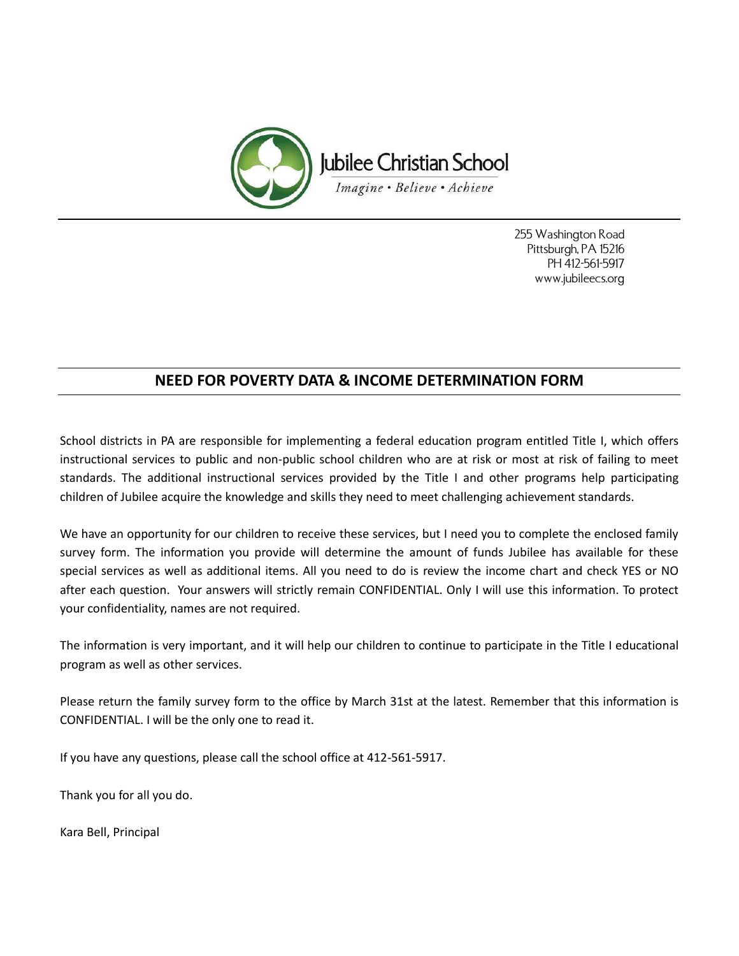

255 Washington Road Pittsburgh, PA 15216 PH 412-561-5917 www.jubileecs.org

# **NEED FOR POVERTY DATA & INCOME DETERMINATION FORM**

School districts in PA are responsible for implementing a federal education program entitled Title I, which offers instructional services to public and non-public school children who are at risk or most at risk of failing to meet standards. The additional instructional services provided by the Title I and other programs help participating children of Jubilee acquire the knowledge and skills they need to meet challenging achievement standards.

We have an opportunity for our children to receive these services, but I need you to complete the enclosed family survey form. The information you provide will determine the amount of funds Jubilee has available for these special services as well as additional items. All you need to do is review the income chart and check YES or NO after each question. Your answers will strictly remain CONFIDENTIAL. Only I will use this information. To protect your confidentiality, names are not required.

The information is very important, and it will help our children to continue to participate in the Title I educational program as well as other services.

Please return the family survey form to the office by March 31st at the latest. Remember that this information is CONFIDENTIAL. I will be the only one to read it.

If you have any questions, please call the school office at 412-561-5917.

Thank you for all you do.

Kara Bell, Principal